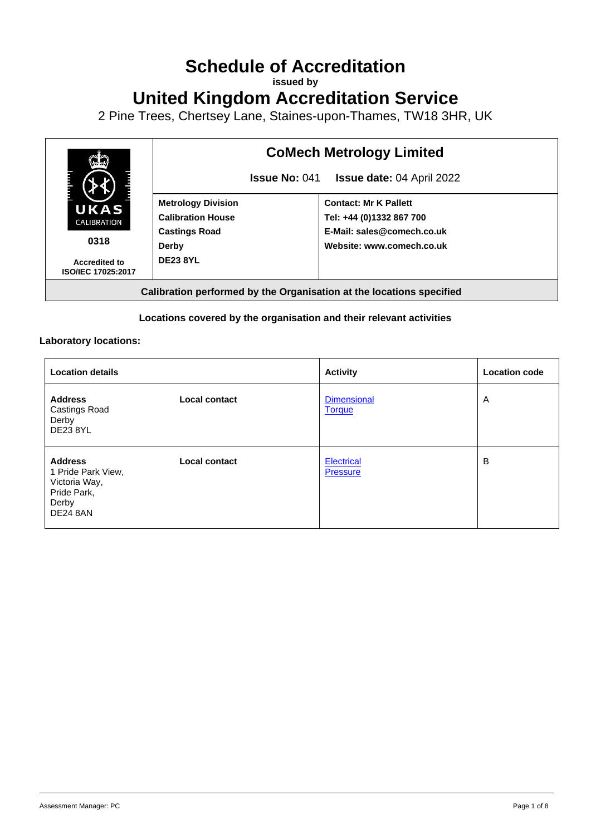# **Schedule of Accreditation**

**issued by**

**United Kingdom Accreditation Service**

2 Pine Trees, Chertsey Lane, Staines-upon-Thames, TW18 3HR, UK



### **Locations covered by the organisation and their relevant activities**

## **Laboratory locations:**

| <b>Location details</b>                                                                          |               | <b>Activity</b>                      | <b>Location code</b> |
|--------------------------------------------------------------------------------------------------|---------------|--------------------------------------|----------------------|
| <b>Address</b><br>Castings Road<br>Derby<br><b>DE23 8YL</b>                                      | Local contact | <b>Dimensional</b><br><b>Torque</b>  | Α                    |
| <b>Address</b><br>1 Pride Park View,<br>Victoria Way,<br>Pride Park,<br>Derby<br><b>DE24 8AN</b> | Local contact | <b>Electrical</b><br><b>Pressure</b> | B                    |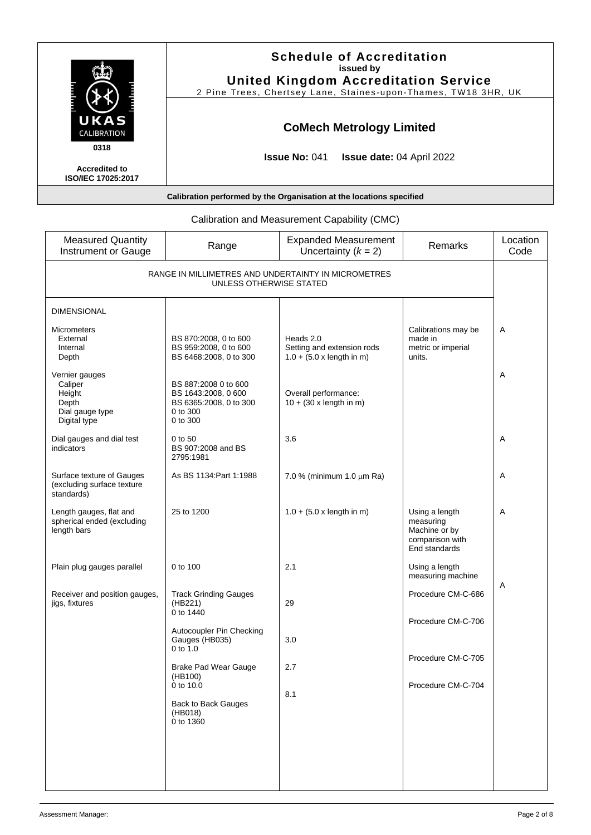|                                                    | <b>Schedule of Accreditation</b><br>issued by<br><b>United Kingdom Accreditation Service</b><br>2 Pine Trees, Chertsey Lane, Staines-upon-Thames, TW18 3HR, UK |
|----------------------------------------------------|----------------------------------------------------------------------------------------------------------------------------------------------------------------|
| UKAS<br>CALIBRATION                                | <b>CoMech Metrology Limited</b>                                                                                                                                |
| 0318<br><b>Accredited to</b><br>ISO/IEC 17025:2017 | <b>Issue No: <math>041</math></b><br><b>Issue date: 04 April 2022</b>                                                                                          |
|                                                    | Calibration performed by the Organisation at the locations specified                                                                                           |

<span id="page-1-0"></span>

| <b>Measured Quantity</b><br><b>Instrument or Gauge</b>                          | Range                                                                                         | <b>Expanded Measurement</b><br>Uncertainty $(k = 2)$                               | Remarks                                                                          | Location<br>Code |
|---------------------------------------------------------------------------------|-----------------------------------------------------------------------------------------------|------------------------------------------------------------------------------------|----------------------------------------------------------------------------------|------------------|
| RANGE IN MILLIMETRES AND UNDERTAINTY IN MICROMETRES<br>UNLESS OTHERWISE STATED  |                                                                                               |                                                                                    |                                                                                  |                  |
| <b>DIMENSIONAL</b>                                                              |                                                                                               |                                                                                    |                                                                                  |                  |
| <b>Micrometers</b><br>External<br>Internal<br>Depth                             | BS 870:2008, 0 to 600<br>BS 959:2008, 0 to 600<br>BS 6468:2008, 0 to 300                      | Heads 2.0<br>Setting and extension rods<br>$1.0 + (5.0 \times \text{length in m})$ | Calibrations may be<br>made in<br>metric or imperial<br>units.                   | Α                |
| Vernier gauges<br>Caliper<br>Height<br>Depth<br>Dial gauge type<br>Digital type | BS 887:2008 0 to 600<br>BS 1643:2008, 0 600<br>BS 6365:2008, 0 to 300<br>0 to 300<br>0 to 300 | Overall performance:<br>$10 + (30 \times \text{length in m})$                      |                                                                                  | Α                |
| Dial gauges and dial test<br>indicators                                         | 0 to 50<br>BS 907:2008 and BS<br>2795:1981                                                    | 3.6                                                                                |                                                                                  | A                |
| Surface texture of Gauges<br>(excluding surface texture<br>standards)           | As BS 1134: Part 1:1988                                                                       | 7.0 % (minimum 1.0 $\mu$ m Ra)                                                     |                                                                                  | Α                |
| Length gauges, flat and<br>spherical ended (excluding<br>length bars            | 25 to 1200                                                                                    | $1.0 + (5.0 \times \text{length in m})$                                            | Using a length<br>measuring<br>Machine or by<br>comparison with<br>End standards | Α                |
| Plain plug gauges parallel                                                      | 0 to 100                                                                                      | 2.1                                                                                | Using a length<br>measuring machine                                              |                  |
| Receiver and position gauges,<br>jigs, fixtures                                 | <b>Track Grinding Gauges</b><br>(HB221)<br>0 to 1440                                          | 29                                                                                 | Procedure CM-C-686                                                               | Α                |
|                                                                                 | Autocoupler Pin Checking<br>Gauges (HB035)<br>$0$ to $1.0$                                    | 3.0                                                                                | Procedure CM-C-706                                                               |                  |
|                                                                                 | Brake Pad Wear Gauge<br>(HB100)                                                               | 2.7                                                                                | Procedure CM-C-705                                                               |                  |
|                                                                                 | 0 to 10.0<br>Back to Back Gauges<br>(HB018)<br>0 to 1360                                      | 8.1                                                                                | Procedure CM-C-704                                                               |                  |
|                                                                                 |                                                                                               |                                                                                    |                                                                                  |                  |

# Calibration and Measurement Capability (CMC)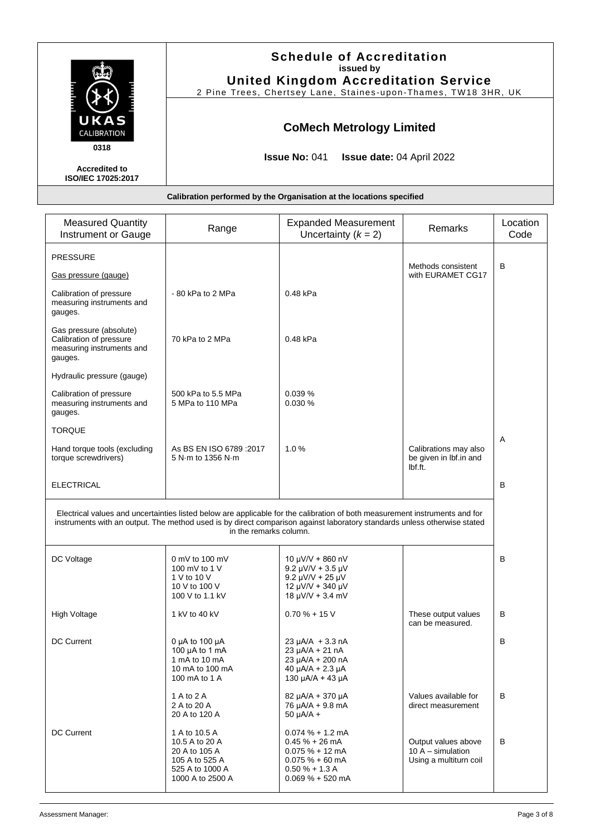|                                                           | <b>Schedule of Accreditation</b><br>issued by<br><b>United Kingdom Accreditation Service</b><br>2 Pine Trees, Chertsey Lane, Staines-upon-Thames, TW18 3HR, UK |
|-----------------------------------------------------------|----------------------------------------------------------------------------------------------------------------------------------------------------------------|
| UKAS<br>CALIBRATION                                       | <b>CoMech Metrology Limited</b>                                                                                                                                |
| 0318<br><b>Accredited to</b><br><b>ISO/IEC 17025:2017</b> | <b>Issue No: 041</b><br><b>Issue date: 04 April 2022</b>                                                                                                       |
|                                                           | Calibration performed by the Organisation at the locations specified                                                                                           |

<span id="page-2-2"></span><span id="page-2-1"></span><span id="page-2-0"></span>

| <b>Measured Quantity</b><br>Instrument or Gauge                                            | Range                                                                                                     | <b>Expanded Measurement</b><br>Uncertainty $(k = 2)$                                                                                                                                                                                                    | Remarks                                                              | Location<br>Code |
|--------------------------------------------------------------------------------------------|-----------------------------------------------------------------------------------------------------------|---------------------------------------------------------------------------------------------------------------------------------------------------------------------------------------------------------------------------------------------------------|----------------------------------------------------------------------|------------------|
| <b>PRESSURE</b>                                                                            |                                                                                                           |                                                                                                                                                                                                                                                         |                                                                      |                  |
| Gas pressure (gauge)                                                                       |                                                                                                           |                                                                                                                                                                                                                                                         | Methods consistent<br>with EURAMET CG17                              | В                |
| Calibration of pressure<br>measuring instruments and<br>gauges.                            | -80 kPa to 2 MPa                                                                                          | 0.48 kPa                                                                                                                                                                                                                                                |                                                                      |                  |
| Gas pressure (absolute)<br>Calibration of pressure<br>measuring instruments and<br>gauges. | 70 kPa to 2 MPa                                                                                           | 0.48 kPa                                                                                                                                                                                                                                                |                                                                      |                  |
| Hydraulic pressure (gauge)                                                                 |                                                                                                           |                                                                                                                                                                                                                                                         |                                                                      |                  |
| Calibration of pressure<br>measuring instruments and<br>gauges.                            | 500 kPa to 5.5 MPa<br>5 MPa to 110 MPa                                                                    | 0.039%<br>0.030 %                                                                                                                                                                                                                                       |                                                                      |                  |
| <b>TORQUE</b>                                                                              |                                                                                                           |                                                                                                                                                                                                                                                         |                                                                      |                  |
| Hand torque tools (excluding<br>torque screwdrivers)                                       | As BS EN ISO 6789 : 2017<br>5 N m to 1356 N m                                                             | 1.0%                                                                                                                                                                                                                                                    | Calibrations may also<br>be given in Ibf.in and<br>Ibf.ft.           | Α                |
| <b>ELECTRICAL</b>                                                                          |                                                                                                           |                                                                                                                                                                                                                                                         |                                                                      | B                |
|                                                                                            | in the remarks column.                                                                                    | Electrical values and uncertainties listed below are applicable for the calibration of both measurement instruments and for<br>instruments with an output. The method used is by direct comparison against laboratory standards unless otherwise stated |                                                                      |                  |
| DC Voltage                                                                                 | 0 mV to 100 mV<br>100 mV to 1 V<br>1 V to 10 V<br>10 V to 100 V<br>100 V to 1.1 kV                        | $10 \mu V/V + 860 \mu V$<br>$9.2 \mu V/V + 3.5 \mu V$<br>$9.2 \mu V/V + 25 \mu V$<br>12 µV/V + 340 µV<br>$18 \mu V/V + 3.4 \mu V$                                                                                                                       |                                                                      | B                |
| High Voltage                                                                               | 1 kV to 40 kV                                                                                             | $0.70% + 15V$                                                                                                                                                                                                                                           | These output values<br>can be measured.                              | в                |
| <b>DC Current</b>                                                                          | 0 $\mu$ A to 100 $\mu$ A<br>100 µA to 1 mA<br>1 mA to 10 mA<br>10 mA to 100 mA<br>100 mA to 1 A           | $23 \mu A/A + 3.3 nA$<br>23 µA/A + 21 nA<br>23 µA/A + 200 nA<br>$40 \mu A/A + 2.3 \mu A$<br>130 µA/A + 43 µA                                                                                                                                            |                                                                      | в                |
|                                                                                            | 1 A to 2 A<br>2 A to 20 A<br>20 A to 120 A                                                                | 82 µA/A + 370 µA<br>76 µA/A + 9.8 mA<br>$50 \mu A/A +$                                                                                                                                                                                                  | Values available for<br>direct measurement                           | В                |
| <b>DC Current</b>                                                                          | 1 A to 10.5 A<br>10.5 A to 20 A<br>20 A to 105 A<br>105 A to 525 A<br>525 A to 1000 A<br>1000 A to 2500 A | $0.074 \% + 1.2$ mA<br>$0.45% + 26$ mA<br>$0.075% + 12mA$<br>$0.075 \% + 60 \text{ mA}$<br>$0.50% + 1.3A$<br>$0.069 \% + 520$ mA                                                                                                                        | Output values above<br>10 A $-$ simulation<br>Using a multiturn coil | В                |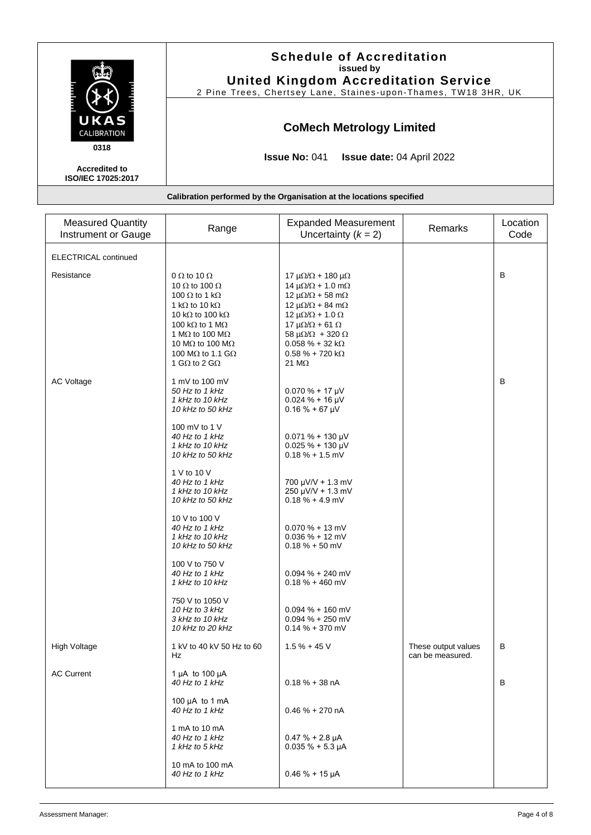|                                                   | <b>Schedule of Accreditation</b><br>issued by<br><b>United Kingdom Accreditation Service</b> |
|---------------------------------------------------|----------------------------------------------------------------------------------------------|
|                                                   | 2 Pine Trees, Chertsey Lane, Staines-upon-Thames, TW18 3HR, UK                               |
| UKAS<br><b>CALIBRATION</b>                        | <b>CoMech Metrology Limited</b>                                                              |
| 0318                                              | <b>Issue No: 041</b><br><b>Issue date: 04 April 2022</b>                                     |
| <b>Accredited to</b><br><b>ISO/IEC 17025:2017</b> |                                                                                              |
|                                                   | Calibration performed by the Organisation at the locations specified                         |

| <b>Measured Quantity</b><br><b>Instrument or Gauge</b> | Range                                                                                                                                                                                                                                                                                                                   | <b>Expanded Measurement</b><br>Uncertainty $(k = 2)$                                                                                                                                                                                                                                                                                                      | Remarks                                 | Location<br>Code |
|--------------------------------------------------------|-------------------------------------------------------------------------------------------------------------------------------------------------------------------------------------------------------------------------------------------------------------------------------------------------------------------------|-----------------------------------------------------------------------------------------------------------------------------------------------------------------------------------------------------------------------------------------------------------------------------------------------------------------------------------------------------------|-----------------------------------------|------------------|
| <b>ELECTRICAL continued</b>                            |                                                                                                                                                                                                                                                                                                                         |                                                                                                                                                                                                                                                                                                                                                           |                                         |                  |
| Resistance                                             | 0 $\Omega$ to 10 $\Omega$<br>10 $\Omega$ to 100 $\Omega$<br>100 $\Omega$ to 1 k $\Omega$<br>1 k $\Omega$ to 10 k $\Omega$<br>10 k $\Omega$ to 100 k $\Omega$<br>100 kΩ to 1 MΩ<br>1 M $\Omega$ to 100 M $\Omega$<br>10 M $\Omega$ to 100 M $\Omega$<br>100 M $\Omega$ to 1.1 G $\Omega$<br>1 G $\Omega$ to 2 G $\Omega$ | $17 \mu\Omega/\Omega + 180 \mu\Omega$<br>$14 \mu\Omega/\Omega + 1.0 \mu\Omega$<br>12 $\mu\Omega/\Omega$ + 58 m $\Omega$<br>12 $\mu\Omega/\Omega$ + 84 m $\Omega$<br>$12 \mu\Omega/\Omega + 1.0 \Omega$<br>$17 \mu\Omega/\Omega + 61 \Omega$<br>58 $\mu\Omega/\Omega$ + 320 $\Omega$<br>$0.058 \% + 32 k\Omega$<br>$0.58 \% + 720 k\Omega$<br>21 $M\Omega$ |                                         | В                |
| <b>AC Voltage</b>                                      | 1 mV to 100 mV<br>50 Hz to 1 kHz<br>1 kHz to 10 kHz<br>10 kHz to 50 kHz                                                                                                                                                                                                                                                 | $0.070 \% + 17 \mu V$<br>$0.024 \% + 16 \mu V$<br>$0.16 \% + 67 \mu V$                                                                                                                                                                                                                                                                                    |                                         | B                |
|                                                        | 100 mV to 1 V<br>40 Hz to 1 kHz<br>1 kHz to 10 kHz<br>10 kHz to 50 kHz                                                                                                                                                                                                                                                  | $0.071 \% + 130 \mu V$<br>$0.025 \% + 130 \mu V$<br>$0.18\% + 1.5$ mV                                                                                                                                                                                                                                                                                     |                                         |                  |
|                                                        | 1 V to 10 V<br>40 Hz to 1 kHz<br>1 kHz to 10 kHz<br>10 kHz to 50 kHz                                                                                                                                                                                                                                                    | $700 \mu V/V + 1.3 \mu V$<br>250 µV/V + 1.3 mV<br>$0.18 \% + 4.9 mV$                                                                                                                                                                                                                                                                                      |                                         |                  |
|                                                        | 10 V to 100 V<br>40 Hz to 1 kHz<br>1 kHz to 10 kHz<br>10 kHz to 50 kHz                                                                                                                                                                                                                                                  | $0.070% + 13$ mV<br>$0.036 \% + 12 mV$<br>$0.18 \% + 50$ mV                                                                                                                                                                                                                                                                                               |                                         |                  |
|                                                        | 100 V to 750 V<br>40 Hz to 1 kHz<br>1 kHz to 10 kHz                                                                                                                                                                                                                                                                     | $0.094 \% + 240$ mV<br>$0.18 \% + 460$ mV                                                                                                                                                                                                                                                                                                                 |                                         |                  |
|                                                        | 750 V to 1050 V<br>10 Hz to 3 kHz<br>3 kHz to 10 kHz<br>10 kHz to 20 kHz                                                                                                                                                                                                                                                | $0.094 \% + 160$ mV<br>$0.094 \% + 250$ mV<br>$0.14\% + 370$ mV                                                                                                                                                                                                                                                                                           |                                         |                  |
| <b>High Voltage</b>                                    | 1 kV to 40 kV 50 Hz to 60<br>Hz                                                                                                                                                                                                                                                                                         | $1.5 \% + 45 V$                                                                                                                                                                                                                                                                                                                                           | These output values<br>can be measured. | В                |
| <b>AC Current</b>                                      | 1 µA to 100 µA<br>40 Hz to 1 kHz                                                                                                                                                                                                                                                                                        | $0.18% + 38nA$                                                                                                                                                                                                                                                                                                                                            |                                         | В                |
|                                                        | 100 $\mu$ A to 1 mA<br>40 Hz to 1 kHz                                                                                                                                                                                                                                                                                   | $0.46 \% + 270 nA$                                                                                                                                                                                                                                                                                                                                        |                                         |                  |
|                                                        | 1 mA to 10 mA<br>40 Hz to 1 kHz<br>1 kHz to 5 kHz                                                                                                                                                                                                                                                                       | $0.47% + 2.8 \mu A$<br>$0.035 \% + 5.3 \mu A$                                                                                                                                                                                                                                                                                                             |                                         |                  |
|                                                        | 10 mA to 100 mA<br>40 Hz to 1 kHz                                                                                                                                                                                                                                                                                       | $0.46 \% + 15 \mu A$                                                                                                                                                                                                                                                                                                                                      |                                         |                  |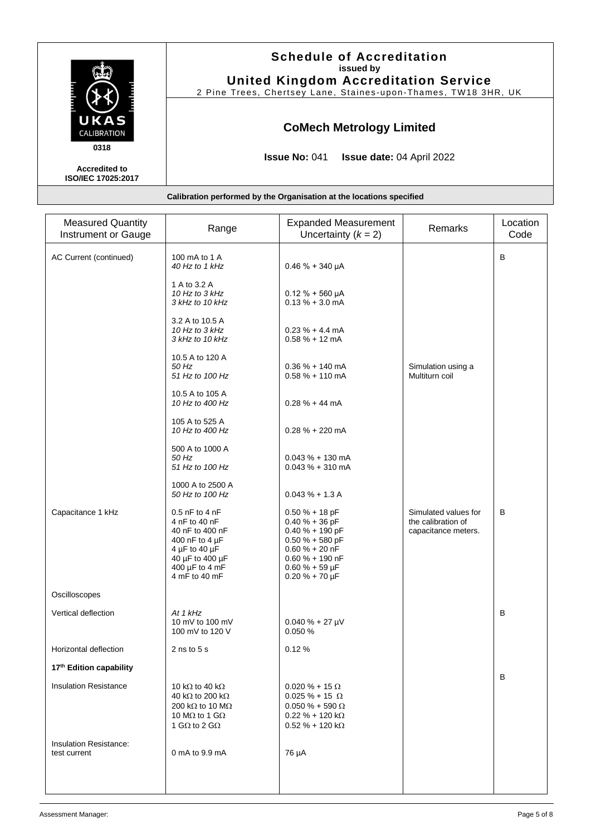|                                            | <b>Schedule of Accreditation</b><br>issued by                        |
|--------------------------------------------|----------------------------------------------------------------------|
|                                            | <b>United Kingdom Accreditation Service</b>                          |
|                                            | 2 Pine Trees, Chertsey Lane, Staines-upon-Thames, TW18 3HR, UK       |
| UKAS<br>CALIBRATION                        | <b>CoMech Metrology Limited</b>                                      |
|                                            |                                                                      |
| 0318                                       | <b>Issue No: 041</b><br><b>Issue date: 04 April 2022</b>             |
| <b>Accredited to</b><br>ISO/IEC 17025:2017 |                                                                      |
|                                            |                                                                      |
|                                            | Calibration performed by the Organisation at the locations specified |

| <b>Measured Quantity</b><br>Instrument or Gauge | Range                                                                                                                                                                 | <b>Expanded Measurement</b><br>Uncertainty $(k = 2)$                                                                                                                   | Remarks                                                           | Location<br>Code |
|-------------------------------------------------|-----------------------------------------------------------------------------------------------------------------------------------------------------------------------|------------------------------------------------------------------------------------------------------------------------------------------------------------------------|-------------------------------------------------------------------|------------------|
| AC Current (continued)                          | 100 mA to 1 A<br>40 Hz to 1 kHz                                                                                                                                       | $0.46% + 340 \mu A$                                                                                                                                                    |                                                                   | B                |
|                                                 | 1 A to 3.2 A<br>10 Hz to 3 kHz<br>3 kHz to 10 kHz                                                                                                                     | $0.12 \% + 560 \mu A$<br>$0.13 \% + 3.0$ mA                                                                                                                            |                                                                   |                  |
|                                                 | 3.2 A to 10.5 A<br>10 Hz to 3 kHz<br>3 kHz to 10 kHz                                                                                                                  | $0.23 \% + 4.4 mA$<br>$0.58 \% + 12$ mA                                                                                                                                |                                                                   |                  |
|                                                 | 10.5 A to 120 A<br>50 Hz<br>51 Hz to 100 Hz                                                                                                                           | $0.36% + 140$ mA<br>$0.58 \% + 110$ mA                                                                                                                                 | Simulation using a<br>Multiturn coil                              |                  |
|                                                 | 10.5 A to 105 A<br>10 Hz to 400 Hz                                                                                                                                    | $0.28 \% + 44 mA$                                                                                                                                                      |                                                                   |                  |
|                                                 | 105 A to 525 A<br>10 Hz to 400 Hz                                                                                                                                     | $0.28 \% + 220$ mA                                                                                                                                                     |                                                                   |                  |
|                                                 | 500 A to 1000 A<br>$50$ Hz<br>51 Hz to 100 Hz                                                                                                                         | $0.043 \% + 130$ mA<br>$0.043 \% + 310$ mA                                                                                                                             |                                                                   |                  |
|                                                 | 1000 A to 2500 A<br>50 Hz to 100 Hz                                                                                                                                   | $0.043 \% + 1.3 A$                                                                                                                                                     |                                                                   |                  |
| Capacitance 1 kHz                               | $0.5$ nF to 4 nF<br>4 nF to 40 nF<br>40 nF to 400 nF<br>400 nF to 4 µF<br>4 µF to 40 $\mu$ F<br>40 µF to 400 µF<br>400 µF to 4 mF<br>4 mF to 40 mF                    | $0.50% + 18pF$<br>$0.40% + 36$ pF<br>$0.40% + 190$ pF<br>$0.50 \% + 580$ pF<br>$0.60 \% + 20 nF$<br>$0.60 \% + 190$ nF<br>$0.60 \% + 59 \mu F$<br>$0.20 \% + 70 \mu F$ | Simulated values for<br>the calibration of<br>capacitance meters. | B                |
| Oscilloscopes                                   |                                                                                                                                                                       |                                                                                                                                                                        |                                                                   |                  |
| Vertical deflection                             | At 1 kHz<br>10 mV to 100 mV<br>100 mV to 120 V                                                                                                                        | $0.040 \% + 27 \mu V$<br>0.050 %                                                                                                                                       |                                                                   | B                |
| Horizontal deflection                           | 2 ns to $5s$                                                                                                                                                          | 0.12%                                                                                                                                                                  |                                                                   |                  |
| 17th Edition capability                         |                                                                                                                                                                       |                                                                                                                                                                        |                                                                   |                  |
| <b>Insulation Resistance</b>                    | 10 k $\Omega$ to 40 k $\Omega$<br>40 k $\Omega$ to 200 k $\Omega$<br>200 k $\Omega$ to 10 M $\Omega$<br>10 M $\Omega$ to 1 G $\Omega$<br>1 G $\Omega$ to 2 G $\Omega$ | $0.020 \% + 15 \Omega$<br>$0.025 \% + 15 \Omega$<br>$0.050 \% + 590 \Omega$<br>$0.22 \% + 120 k\Omega$<br>$0.52 \% + 120 k\Omega$                                      |                                                                   | в                |
| Insulation Resistance:<br>test current          | 0 mA to 9.9 mA                                                                                                                                                        | 76 µA                                                                                                                                                                  |                                                                   |                  |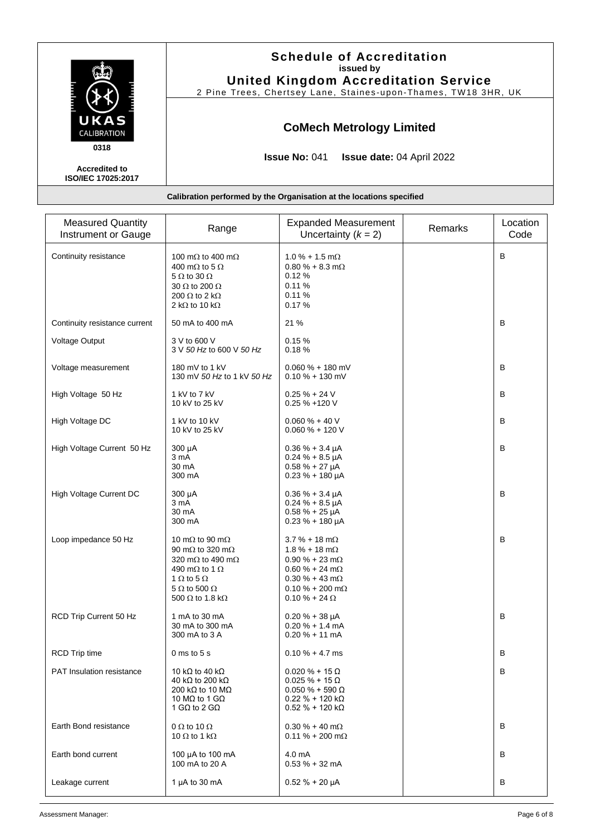|                                                    | <b>Schedule of Accreditation</b><br>issued by<br><b>United Kingdom Accreditation Service</b><br>2 Pine Trees, Chertsey Lane, Staines-upon-Thames, TW18 3HR, UK |
|----------------------------------------------------|----------------------------------------------------------------------------------------------------------------------------------------------------------------|
| UKAS<br><b>CALIBRATION</b>                         | <b>CoMech Metrology Limited</b>                                                                                                                                |
| 0318<br><b>Accredited to</b><br>ISO/IEC 17025:2017 | <b>Issue No: 041</b><br><b>Issue date: 04 April 2022</b>                                                                                                       |
|                                                    | Calibration performed by the Organisation at the locations specified                                                                                           |

| <b>Measured Quantity</b><br>Instrument or Gauge | Range                                                                                                                                                                                                                             | <b>Expanded Measurement</b><br>Uncertainty $(k = 2)$                                                                                                                                | Remarks | Location<br>Code |
|-------------------------------------------------|-----------------------------------------------------------------------------------------------------------------------------------------------------------------------------------------------------------------------------------|-------------------------------------------------------------------------------------------------------------------------------------------------------------------------------------|---------|------------------|
| Continuity resistance                           | 100 m $\Omega$ to 400 m $\Omega$<br>400 m $\Omega$ to 5 $\Omega$<br>$5 \Omega$ to 30 $\Omega$<br>$30 \Omega$ to 200 $\Omega$<br>200 $\Omega$ to 2 k $\Omega$<br>2 k $\Omega$ to 10 k $\Omega$                                     | $1.0\% + 1.5 \text{ m}\Omega$<br>$0.80\% + 8.3 \text{ m}\Omega$<br>0.12%<br>0.11%<br>0.11%<br>0.17%                                                                                 |         | B                |
| Continuity resistance current                   | 50 mA to 400 mA                                                                                                                                                                                                                   | 21 %                                                                                                                                                                                |         | B                |
| Voltage Output                                  | 3 V to 600 V<br>3 V 50 Hz to 600 V 50 Hz                                                                                                                                                                                          | 0.15%<br>0.18%                                                                                                                                                                      |         |                  |
| Voltage measurement                             | 180 mV to 1 kV<br>130 mV 50 Hz to 1 kV 50 Hz                                                                                                                                                                                      | $0.060 \% + 180$ mV<br>$0.10 \% + 130$ mV                                                                                                                                           |         | В                |
| High Voltage 50 Hz                              | 1 kV to 7 kV<br>10 kV to 25 kV                                                                                                                                                                                                    | $0.25% + 24V$<br>0.25 % +120 V                                                                                                                                                      |         | B                |
| High Voltage DC                                 | 1 kV to 10 kV<br>10 kV to 25 kV                                                                                                                                                                                                   | $0.060 \% + 40 V$<br>$0.060 \% + 120 V$                                                                                                                                             |         | В                |
| High Voltage Current 50 Hz                      | 300 µA<br>3 mA<br>30 mA<br>300 mA                                                                                                                                                                                                 | $0.36 \% + 3.4 \mu A$<br>$0.24 \% + 8.5 \mu A$<br>$0.58 \% + 27 \mu A$<br>$0.23 \% + 180 \mu A$                                                                                     |         | B                |
| High Voltage Current DC                         | 300 µA<br>3 mA<br>30 mA<br>300 mA                                                                                                                                                                                                 | $0.36 \% + 3.4 \mu A$<br>$0.24 \% + 8.5 \mu A$<br>$0.58 \% + 25 \mu A$<br>$0.23 \% + 180 \mu A$                                                                                     |         | B                |
| Loop impedance 50 Hz                            | 10 m $\Omega$ to 90 m $\Omega$<br>90 m $\Omega$ to 320 m $\Omega$<br>320 m $\Omega$ to 490 m $\Omega$<br>490 m $\Omega$ to 1 $\Omega$<br>1 $\Omega$ to 5 $\Omega$<br>$5 \Omega$ to $500 \Omega$<br>500 $\Omega$ to 1.8 k $\Omega$ | $3.7 \% + 18 m\Omega$<br>$1.8 \% + 18 m\Omega$<br>$0.90 \% + 23 m\Omega$<br>$0.60 \% + 24 m\Omega$<br>$0.30 \% + 43 m\Omega$<br>$0.10 \% + 200$ m $\Omega$<br>$0.10 \% + 24 \Omega$ |         | B                |
| RCD Trip Current 50 Hz                          | 1 mA to 30 mA<br>30 mA to 300 mA<br>300 mA to 3 A                                                                                                                                                                                 | $0.20 \% + 38 \mu A$<br>$0.20% + 1.4mA$<br>$0.20% + 11$ mA                                                                                                                          |         | B                |
| <b>RCD Trip time</b>                            | $0 \text{ ms}$ to $5 \text{ s}$                                                                                                                                                                                                   | $0.10 \% + 4.7 ms$                                                                                                                                                                  |         | В                |
| <b>PAT Insulation resistance</b>                | 10 k $\Omega$ to 40 k $\Omega$<br>40 kΩ to 200 kΩ<br>200 kΩ to 10 MΩ<br>10 MQ to 1 GQ<br>1 GQ to 2 GQ                                                                                                                             | $0.020 \% + 15 \Omega$<br>$0.025 \% + 15 \Omega$<br>$0.050 \% + 590 \Omega$<br>$0.22 \% + 120 k\Omega$<br>$0.52 \% + 120 K\Omega$                                                   |         | B                |
| Earth Bond resistance                           | 0 $\Omega$ to 10 $\Omega$<br>10 $\Omega$ to 1 k $\Omega$                                                                                                                                                                          | $0.30 \% + 40 m\Omega$<br>$0.11 \% + 200 m\Omega$                                                                                                                                   |         | В                |
| Earth bond current                              | 100 µA to 100 mA<br>100 mA to 20 A                                                                                                                                                                                                | 4.0 mA<br>$0.53% + 32$ mA                                                                                                                                                           |         | B                |
| Leakage current                                 | 1 $\mu$ A to 30 mA                                                                                                                                                                                                                | $0.52 \% + 20 \mu A$                                                                                                                                                                |         | В                |

Assessment Manager: Page 6 of 8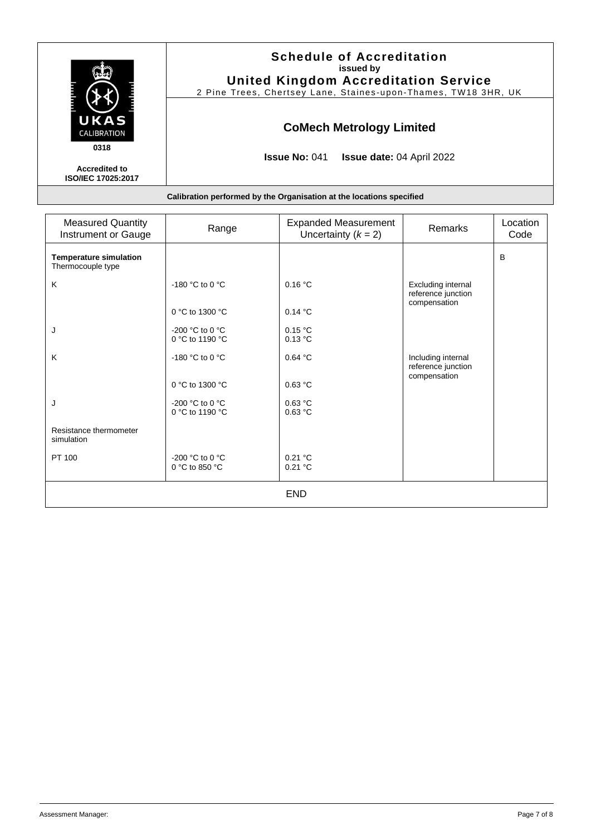|                                                           | <b>Schedule of Accreditation</b><br>issued by<br><b>United Kingdom Accreditation Service</b><br>2 Pine Trees, Chertsey Lane, Staines-upon-Thames, TW18 3HR, UK |
|-----------------------------------------------------------|----------------------------------------------------------------------------------------------------------------------------------------------------------------|
| UKAS<br>CALIBRATION                                       | <b>CoMech Metrology Limited</b>                                                                                                                                |
| 0318<br><b>Accredited to</b><br><b>ISO/IEC 17025:2017</b> | <b>Issue No: 041</b><br><b>Issue date: 04 April 2022</b>                                                                                                       |
|                                                           | Calibration performed by the Organisation at the locations specified                                                                                           |

| <b>Measured Quantity</b><br>Instrument or Gauge    | Range                                                  | <b>Expanded Measurement</b><br>Uncertainty $(k = 2)$ | Remarks                                                  | Location<br>Code |
|----------------------------------------------------|--------------------------------------------------------|------------------------------------------------------|----------------------------------------------------------|------------------|
| <b>Temperature simulation</b><br>Thermocouple type |                                                        |                                                      |                                                          | B                |
| K                                                  | -180 °C to 0 °C                                        | 0.16 °C                                              | Excluding internal<br>reference junction<br>compensation |                  |
|                                                    | 0 °C to 1300 °C                                        | 0.14 °C                                              |                                                          |                  |
| J                                                  | -200 °C to 0 °C<br>0 °C to 1190 °C                     | 0.15 °C<br>0.13 °C                                   |                                                          |                  |
| K                                                  | -180 °C to 0 °C                                        | 0.64 °C                                              | Including internal<br>reference junction                 |                  |
|                                                    | 0 °C to 1300 °C                                        | 0.63 °C                                              | compensation                                             |                  |
| J                                                  | -200 $^{\circ}$ C to 0 $^{\circ}$ C<br>0 °C to 1190 °C | 0.63 °C<br>0.63 °C                                   |                                                          |                  |
| Resistance thermometer<br>simulation               |                                                        |                                                      |                                                          |                  |
| PT 100                                             | -200 °C to 0 °C<br>0 °C to 850 °C                      | 0.21 °C<br>0.21 °C                                   |                                                          |                  |
| <b>END</b>                                         |                                                        |                                                      |                                                          |                  |